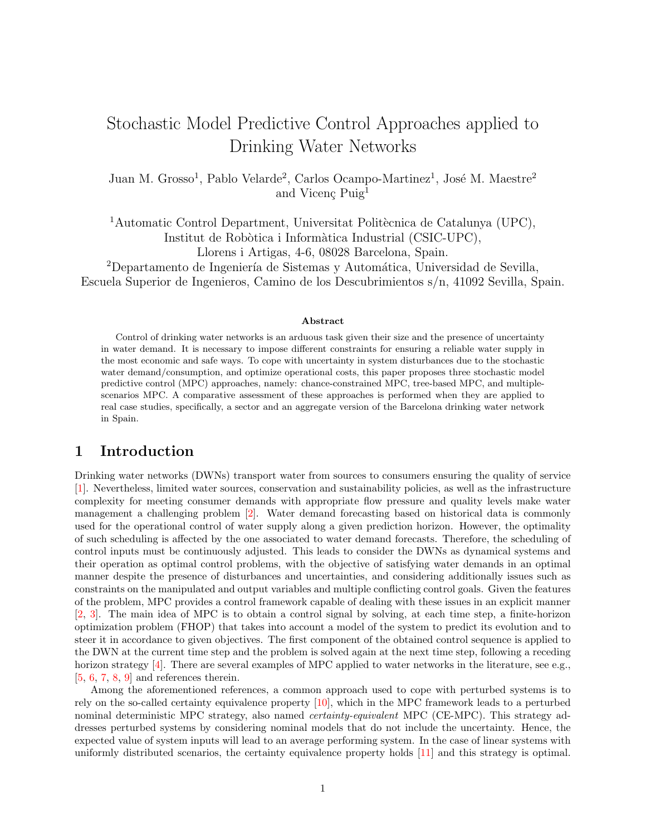# Stochastic Model Predictive Control Approaches applied to Drinking Water Networks

Juan M. Grosso<sup>1</sup>, Pablo Velarde<sup>2</sup>, Carlos Ocampo-Martinez<sup>1</sup>, José M. Maestre<sup>2</sup> and Vicenç Puig<sup>1</sup>

<sup>1</sup>Automatic Control Department, Universitat Politècnica de Catalunya (UPC), Institut de Robòtica i Informàtica Industrial (CSIC-UPC), Llorens i Artigas, 4-6, 08028 Barcelona, Spain.

<sup>2</sup>Departamento de Ingeniería de Sistemas y Automática, Universidad de Sevilla, Escuela Superior de Ingenieros, Camino de los Descubrimientos s/n, 41092 Sevilla, Spain.

#### Abstract

Control of drinking water networks is an arduous task given their size and the presence of uncertainty in water demand. It is necessary to impose different constraints for ensuring a reliable water supply in the most economic and safe ways. To cope with uncertainty in system disturbances due to the stochastic water demand/consumption, and optimize operational costs, this paper proposes three stochastic model predictive control (MPC) approaches, namely: chance-constrained MPC, tree-based MPC, and multiplescenarios MPC. A comparative assessment of these approaches is performed when they are applied to real case studies, specifically, a sector and an aggregate version of the Barcelona drinking water network in Spain.

# 1 Introduction

Drinking water networks (DWNs) transport water from sources to consumers ensuring the quality of service [\[1\]](#page-14-0). Nevertheless, limited water sources, conservation and sustainability policies, as well as the infrastructure complexity for meeting consumer demands with appropriate flow pressure and quality levels make water management a challenging problem [\[2\]](#page-14-1). Water demand forecasting based on historical data is commonly used for the operational control of water supply along a given prediction horizon. However, the optimality of such scheduling is affected by the one associated to water demand forecasts. Therefore, the scheduling of control inputs must be continuously adjusted. This leads to consider the DWNs as dynamical systems and their operation as optimal control problems, with the objective of satisfying water demands in an optimal manner despite the presence of disturbances and uncertainties, and considering additionally issues such as constraints on the manipulated and output variables and multiple conflicting control goals. Given the features of the problem, MPC provides a control framework capable of dealing with these issues in an explicit manner [\[2,](#page-14-1) [3\]](#page-14-2). The main idea of MPC is to obtain a control signal by solving, at each time step, a finite-horizon optimization problem (FHOP) that takes into account a model of the system to predict its evolution and to steer it in accordance to given objectives. The first component of the obtained control sequence is applied to the DWN at the current time step and the problem is solved again at the next time step, following a receding horizon strategy [\[4\]](#page-14-3). There are several examples of MPC applied to water networks in the literature, see e.g.,  $[5, 6, 7, 8, 9]$  $[5, 6, 7, 8, 9]$  $[5, 6, 7, 8, 9]$  $[5, 6, 7, 8, 9]$  $[5, 6, 7, 8, 9]$  $[5, 6, 7, 8, 9]$  $[5, 6, 7, 8, 9]$  $[5, 6, 7, 8, 9]$  $[5, 6, 7, 8, 9]$  and references therein.

Among the aforementioned references, a common approach used to cope with perturbed systems is to rely on the so-called certainty equivalence property [\[10\]](#page-14-9), which in the MPC framework leads to a perturbed nominal deterministic MPC strategy, also named *certainty-equivalent* MPC (CE-MPC). This strategy addresses perturbed systems by considering nominal models that do not include the uncertainty. Hence, the expected value of system inputs will lead to an average performing system. In the case of linear systems with uniformly distributed scenarios, the certainty equivalence property holds [\[11\]](#page-14-10) and this strategy is optimal.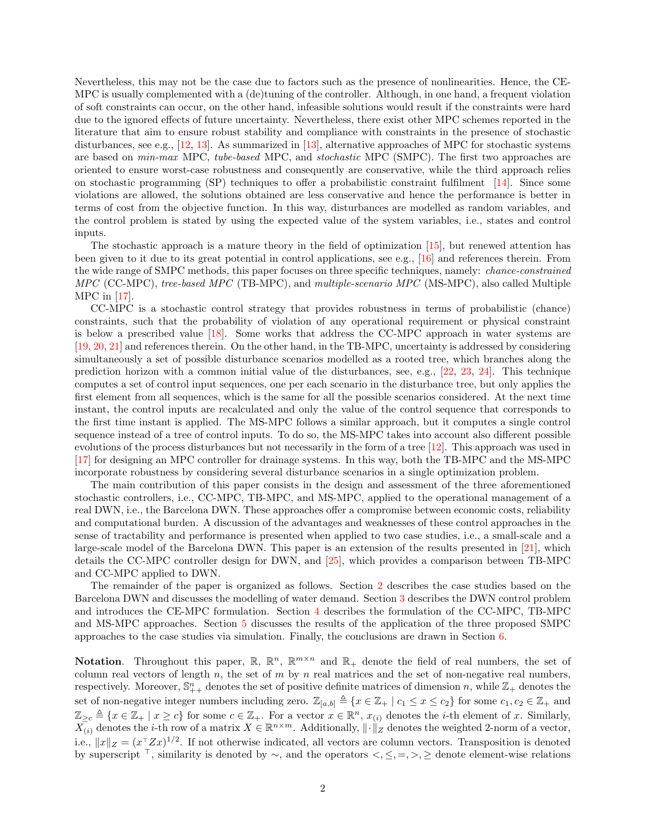Nevertheless, this may not be the case due to factors such as the presence of nonlinearities. Hence, the CE-MPC is usually complemented with a (de)tuning of the controller. Although, in one hand, a frequent violation of soft constraints can occur, on the other hand, infeasible solutions would result if the constraints were hard due to the ignored effects of future uncertainty. Nevertheless, there exist other MPC schemes reported in the literature that aim to ensure robust stability and compliance with constraints in the presence of stochastic disturbances, see e.g., [\[12,](#page-15-0) [13\]](#page-15-1). As summarized in [\[13\]](#page-15-1), alternative approaches of MPC for stochastic systems are based on *min-max* MPC, tube-based MPC, and *stochastic* MPC (SMPC). The first two approaches are oriented to ensure worst-case robustness and consequently are conservative, while the third approach relies on stochastic programming (SP) techniques to offer a probabilistic constraint fulfilment [\[14\]](#page-15-2). Since some violations are allowed, the solutions obtained are less conservative and hence the performance is better in terms of cost from the objective function. In this way, disturbances are modelled as random variables, and the control problem is stated by using the expected value of the system variables, i.e., states and control inputs.

The stochastic approach is a mature theory in the field of optimization [\[15\]](#page-15-3), but renewed attention has been given to it due to its great potential in control applications, see e.g., [\[16\]](#page-15-4) and references therein. From the wide range of SMPC methods, this paper focuses on three specific techniques, namely: *chance-constrained* MPC (CC-MPC), tree-based MPC (TB-MPC), and multiple-scenario MPC (MS-MPC), also called Multiple MPC in [\[17\]](#page-15-5).

CC-MPC is a stochastic control strategy that provides robustness in terms of probabilistic (chance) constraints, such that the probability of violation of any operational requirement or physical constraint is below a prescribed value [\[18\]](#page-15-6). Some works that address the CC-MPC approach in water systems are [\[19,](#page-15-7) [20,](#page-15-8) [21\]](#page-15-9) and references therein. On the other hand, in the TB-MPC, uncertainty is addressed by considering simultaneously a set of possible disturbance scenarios modelled as a rooted tree, which branches along the prediction horizon with a common initial value of the disturbances, see, e.g., [\[22,](#page-15-10) [23,](#page-15-11) [24\]](#page-15-12). This technique computes a set of control input sequences, one per each scenario in the disturbance tree, but only applies the first element from all sequences, which is the same for all the possible scenarios considered. At the next time instant, the control inputs are recalculated and only the value of the control sequence that corresponds to the first time instant is applied. The MS-MPC follows a similar approach, but it computes a single control sequence instead of a tree of control inputs. To do so, the MS-MPC takes into account also different possible evolutions of the process disturbances but not necessarily in the form of a tree [\[12\]](#page-15-0). This approach was used in [\[17\]](#page-15-5) for designing an MPC controller for drainage systems. In this way, both the TB-MPC and the MS-MPC incorporate robustness by considering several disturbance scenarios in a single optimization problem.

The main contribution of this paper consists in the design and assessment of the three aforementioned stochastic controllers, i.e., CC-MPC, TB-MPC, and MS-MPC, applied to the operational management of a real DWN, i.e., the Barcelona DWN. These approaches offer a compromise between economic costs, reliability and computational burden. A discussion of the advantages and weaknesses of these control approaches in the sense of tractability and performance is presented when applied to two case studies, i.e., a small-scale and a large-scale model of the Barcelona DWN. This paper is an extension of the results presented in [\[21\]](#page-15-9), which details the CC-MPC controller design for DWN, and [\[25\]](#page-15-13), which provides a comparison between TB-MPC and CC-MPC applied to DWN.

The remainder of the paper is organized as follows. Section [2](#page-2-0) describes the case studies based on the Barcelona DWN and discusses the modelling of water demand. Section [3](#page-3-0) describes the DWN control problem and introduces the CE-MPC formulation. Section [4](#page-5-0) describes the formulation of the CC-MPC, TB-MPC and MS-MPC approaches. Section [5](#page-10-0) discusses the results of the application of the three proposed SMPC approaches to the case studies via simulation. Finally, the conclusions are drawn in Section [6.](#page-13-0)

Notation. Throughout this paper,  $\mathbb{R}, \mathbb{R}^n, \mathbb{R}^{m \times n}$  and  $\mathbb{R}_+$  denote the field of real numbers, the set of column real vectors of length n, the set of m by n real matrices and the set of non-negative real numbers, respectively. Moreover,  $\mathbb{S}_{++}^n$  denotes the set of positive definite matrices of dimension n, while  $\mathbb{Z}_+$  denotes the set of non-negative integer numbers including zero.  $\mathbb{Z}_{[a,b]} \triangleq \{x \in \mathbb{Z}_+ \mid c_1 \leq x \leq c_2\}$  for some  $c_1, c_2 \in \mathbb{Z}_+$  and  $\mathbb{Z}_{\geq c} \triangleq \{x \in \mathbb{Z}_+ \mid x \geq c\}$  for some  $c \in \mathbb{Z}_+$ . For a vector  $x \in \mathbb{R}^n$ ,  $x_{(i)}$  denotes the *i*-th element of x. Similarly,  $\overline{X}_{(i)}$  denotes the *i*-th row of a matrix  $X \in \mathbb{R}^{n \times m}$ . Additionally,  $\|\cdot\|_Z$  denotes the weighted 2-norm of a vector, i.e.,  $||x||_Z = (x^T Z x)^{1/2}$ . If not otherwise indicated, all vectors are column vectors. Transposition is denoted by superscript  $\top$ , similarity is denoted by  $\sim$ , and the operators  $\lt$ ,  $\leq, =, >, \geq$  denote element-wise relations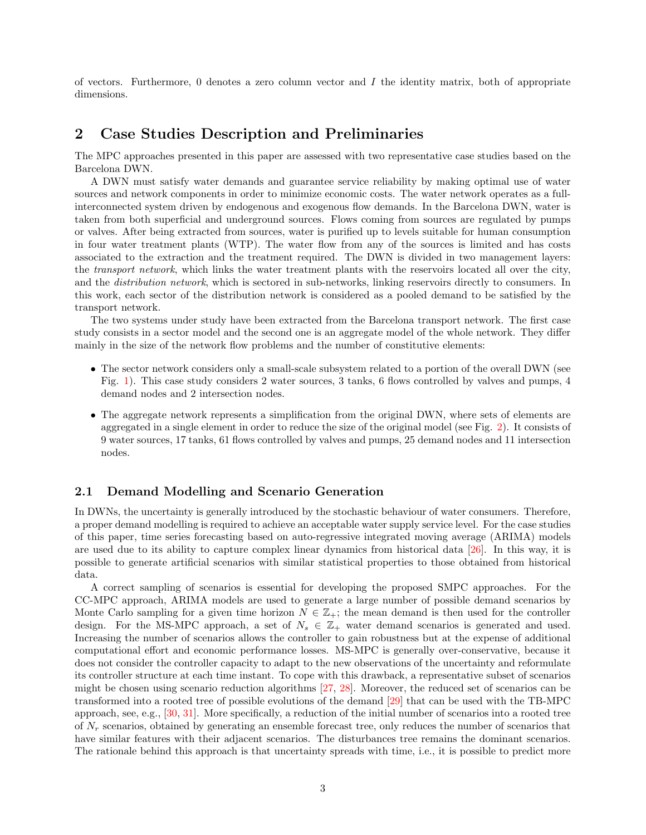of vectors. Furthermore,  $\theta$  denotes a zero column vector and  $I$  the identity matrix, both of appropriate dimensions.

# <span id="page-2-0"></span>2 Case Studies Description and Preliminaries

The MPC approaches presented in this paper are assessed with two representative case studies based on the Barcelona DWN.

A DWN must satisfy water demands and guarantee service reliability by making optimal use of water sources and network components in order to minimize economic costs. The water network operates as a fullinterconnected system driven by endogenous and exogenous flow demands. In the Barcelona DWN, water is taken from both superficial and underground sources. Flows coming from sources are regulated by pumps or valves. After being extracted from sources, water is purified up to levels suitable for human consumption in four water treatment plants (WTP). The water flow from any of the sources is limited and has costs associated to the extraction and the treatment required. The DWN is divided in two management layers: the transport network, which links the water treatment plants with the reservoirs located all over the city, and the *distribution network*, which is sectored in sub-networks, linking reservoirs directly to consumers. In this work, each sector of the distribution network is considered as a pooled demand to be satisfied by the transport network.

The two systems under study have been extracted from the Barcelona transport network. The first case study consists in a sector model and the second one is an aggregate model of the whole network. They differ mainly in the size of the network flow problems and the number of constitutive elements:

- The sector network considers only a small-scale subsystem related to a portion of the overall DWN (see Fig. [1\)](#page-3-1). This case study considers 2 water sources, 3 tanks, 6 flows controlled by valves and pumps, 4 demand nodes and 2 intersection nodes.
- The aggregate network represents a simplification from the original DWN, where sets of elements are aggregated in a single element in order to reduce the size of the original model (see Fig. [2\)](#page-4-0). It consists of 9 water sources, 17 tanks, 61 flows controlled by valves and pumps, 25 demand nodes and 11 intersection nodes.

### 2.1 Demand Modelling and Scenario Generation

In DWNs, the uncertainty is generally introduced by the stochastic behaviour of water consumers. Therefore, a proper demand modelling is required to achieve an acceptable water supply service level. For the case studies of this paper, time series forecasting based on auto-regressive integrated moving average (ARIMA) models are used due to its ability to capture complex linear dynamics from historical data [\[26\]](#page-15-14). In this way, it is possible to generate artificial scenarios with similar statistical properties to those obtained from historical data.

A correct sampling of scenarios is essential for developing the proposed SMPC approaches. For the CC-MPC approach, ARIMA models are used to generate a large number of possible demand scenarios by Monte Carlo sampling for a given time horizon  $N \in \mathbb{Z}_+$ ; the mean demand is then used for the controller design. For the MS-MPC approach, a set of  $N_s \in \mathbb{Z}_+$  water demand scenarios is generated and used. Increasing the number of scenarios allows the controller to gain robustness but at the expense of additional computational effort and economic performance losses. MS-MPC is generally over-conservative, because it does not consider the controller capacity to adapt to the new observations of the uncertainty and reformulate its controller structure at each time instant. To cope with this drawback, a representative subset of scenarios might be chosen using scenario reduction algorithms [\[27,](#page-15-15) [28\]](#page-15-16). Moreover, the reduced set of scenarios can be transformed into a rooted tree of possible evolutions of the demand [\[29\]](#page-15-17) that can be used with the TB-MPC approach, see, e.g., [\[30,](#page-16-0) [31\]](#page-16-1). More specifically, a reduction of the initial number of scenarios into a rooted tree of  $N_r$  scenarios, obtained by generating an ensemble forecast tree, only reduces the number of scenarios that have similar features with their adjacent scenarios. The disturbances tree remains the dominant scenarios. The rationale behind this approach is that uncertainty spreads with time, i.e., it is possible to predict more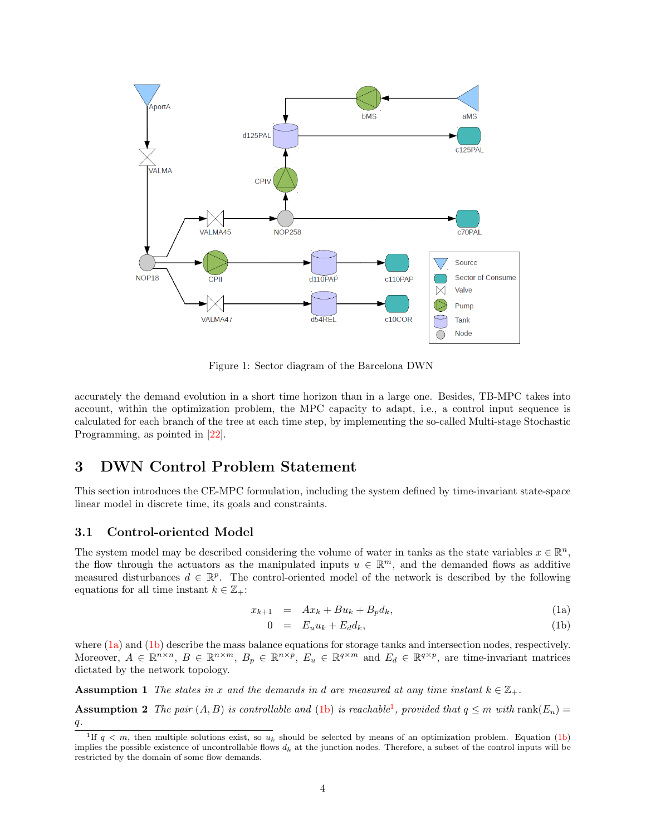

<span id="page-3-1"></span>Figure 1: Sector diagram of the Barcelona DWN

accurately the demand evolution in a short time horizon than in a large one. Besides, TB-MPC takes into account, within the optimization problem, the MPC capacity to adapt, i.e., a control input sequence is calculated for each branch of the tree at each time step, by implementing the so-called Multi-stage Stochastic Programming, as pointed in [\[22\]](#page-15-10).

# <span id="page-3-0"></span>3 DWN Control Problem Statement

This section introduces the CE-MPC formulation, including the system defined by time-invariant state-space linear model in discrete time, its goals and constraints.

### 3.1 Control-oriented Model

The system model may be described considering the volume of water in tanks as the state variables  $x \in \mathbb{R}^n$ , the flow through the actuators as the manipulated inputs  $u \in \mathbb{R}^m$ , and the demanded flows as additive measured disturbances  $d \in \mathbb{R}^p$ . The control-oriented model of the network is described by the following equations for all time instant  $k \in \mathbb{Z}_+$ :

<span id="page-3-5"></span><span id="page-3-2"></span>
$$
x_{k+1} = Ax_k + Bu_k + B_p d_k, \tag{1a}
$$

$$
0 = E_u u_k + E_d d_k, \tag{1b}
$$

where [\(1a\)](#page-3-2) and [\(1b\)](#page-3-2) describe the mass balance equations for storage tanks and intersection nodes, respectively. Moreover,  $A \in \mathbb{R}^{n \times n}$ ,  $B \in \mathbb{R}^{n \times m}$ ,  $B_p \in \mathbb{R}^{n \times p}$ ,  $E_u \in \mathbb{R}^{q \times m}$  and  $E_d \in \mathbb{R}^{q \times p}$ , are time-invariant matrices dictated by the network topology.

**Assumption 1** The states in x and the demands in d are measured at any time instant  $k \in \mathbb{Z}_{+}$ .

<span id="page-3-4"></span>**Assumption 2** The pair  $(A, B)$  is controllable and [\(1b\)](#page-3-2) is reachable<sup>[1](#page-3-3)</sup>, provided that  $q \leq m$  with rank $(E_u)$  $\overline{q}$ .

<span id="page-3-3"></span><sup>&</sup>lt;sup>1</sup>If  $q < m$ , then multiple solutions exist, so  $u_k$  should be selected by means of an optimization problem. Equation [\(1b\)](#page-3-2) implies the possible existence of uncontrollable flows  $d_k$  at the junction nodes. Therefore, a subset of the control inputs will be restricted by the domain of some flow demands.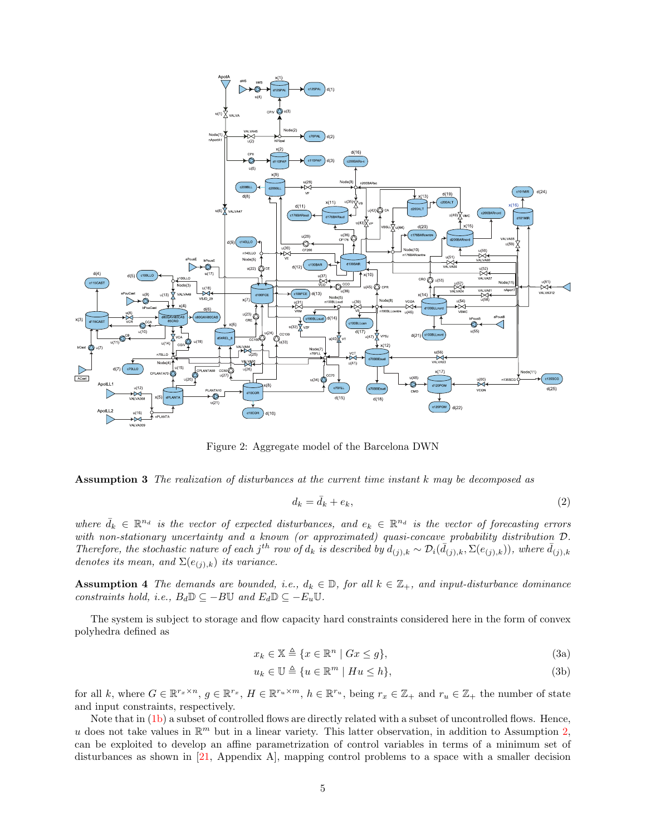

<span id="page-4-0"></span>Figure 2: Aggregate model of the Barcelona DWN

Assumption 3 The realization of disturbances at the current time instant k may be decomposed as

$$
d_k = \bar{d}_k + e_k,\tag{2}
$$

where  $\bar{d}_k \in \mathbb{R}^{n_d}$  is the vector of expected disturbances, and  $e_k \in \mathbb{R}^{n_d}$  is the vector of forecasting errors with non-stationary uncertainty and a known (or approximated) quasi-concave probability distribution  $D$ . Therefore, the stochastic nature of each j<sup>th</sup> row of d<sub>k</sub> is described by  $d_{(j),k} \sim \mathcal{D}_i(\bar{d}_{(j),k}, \Sigma(e_{(j),k}))$ , where  $\bar{d}_{(j),k}$ denotes its mean, and  $\Sigma(e_{(j),k})$  its variance.

<span id="page-4-2"></span>**Assumption 4** The demands are bounded, i.e.,  $d_k \in \mathbb{D}$ , for all  $k \in \mathbb{Z}_+$ , and input-disturbance dominance constraints hold, i.e.,  $B_d \mathbb{D} \subseteq -B \mathbb{U}$  and  $E_d \mathbb{D} \subseteq -E_u \mathbb{U}$ .

The system is subject to storage and flow capacity hard constraints considered here in the form of convex polyhedra defined as

$$
x_k \in \mathbb{X} \triangleq \{ x \in \mathbb{R}^n \mid Gx \le g \},\tag{3a}
$$

<span id="page-4-1"></span>
$$
u_k \in \mathbb{U} \triangleq \{ u \in \mathbb{R}^m \mid Hu \le h \},\tag{3b}
$$

for all k, where  $G \in \mathbb{R}^{r_x \times n}$ ,  $g \in \mathbb{R}^{r_x}$ ,  $H \in \mathbb{R}^{r_u \times m}$ ,  $h \in \mathbb{R}^{r_u}$ , being  $r_x \in \mathbb{Z}_+$  and  $r_u \in \mathbb{Z}_+$  the number of state and input constraints, respectively.

Note that in [\(1b\)](#page-3-2) a subset of controlled flows are directly related with a subset of uncontrolled flows. Hence, u does not take values in  $\mathbb{R}^m$  but in a linear variety. This latter observation, in addition to Assumption [2,](#page-3-4) can be exploited to develop an affine parametrization of control variables in terms of a minimum set of disturbances as shown in [\[21,](#page-15-9) Appendix A], mapping control problems to a space with a smaller decision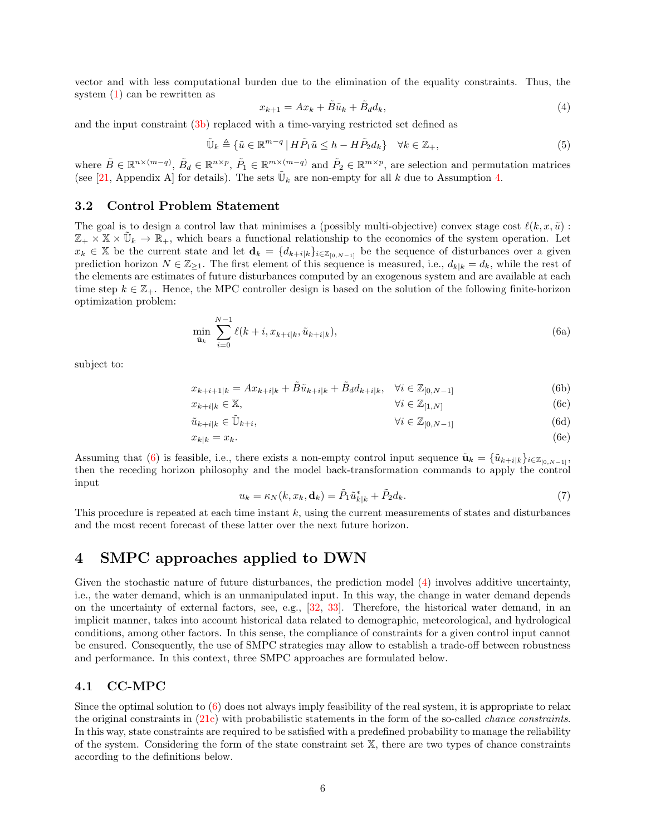vector and with less computational burden due to the elimination of the equality constraints. Thus, the system [\(1\)](#page-3-5) can be rewritten as

<span id="page-5-2"></span>
$$
x_{k+1} = Ax_k + \tilde{B}\tilde{u}_k + \tilde{B}_d d_k, \tag{4}
$$

and the input constraint [\(3b\)](#page-4-1) replaced with a time-varying restricted set defined as

$$
\tilde{\mathbb{U}}_k \triangleq \{ \tilde{u} \in \mathbb{R}^{m-q} \mid H\tilde{P}_1\tilde{u} \leq h - H\tilde{P}_2d_k \} \quad \forall k \in \mathbb{Z}_+, \tag{5}
$$

where  $\tilde{B} \in \mathbb{R}^{n \times (m-q)}$ ,  $\tilde{B}_d \in \mathbb{R}^{n \times p}$ ,  $\tilde{P}_1 \in \mathbb{R}^{m \times (m-q)}$  and  $\tilde{P}_2 \in \mathbb{R}^{m \times p}$ , are selection and permutation matrices (see [\[21,](#page-15-9) Appendix A] for details). The sets  $\tilde{U}_k$  are non-empty for all k due to Assumption [4.](#page-4-2)

### 3.2 Control Problem Statement

The goal is to design a control law that minimises a (possibly multi-objective) convex stage cost  $\ell(k, x, \tilde{u})$ :  $\mathbb{Z}_+ \times \mathbb{X} \times \mathbb{U}_k \to \mathbb{R}_+$ , which bears a functional relationship to the economics of the system operation. Let  $x_k \in \mathbb{X}$  be the current state and let  $\mathbf{d}_k = \{d_{k+i|k}\}_{i\in\mathbb{Z}_{[0,N-1]}}$  be the sequence of disturbances over a given prediction horizon  $N \in \mathbb{Z}_{\geq 1}$ . The first element of this sequence is measured, i.e.,  $d_{k|k} = d_k$ , while the rest of the elements are estimates of future disturbances computed by an exogenous system and are available at each time step  $k \in \mathbb{Z}_+$ . Hence, the MPC controller design is based on the solution of the following finite-horizon optimization problem:

<span id="page-5-1"></span>
$$
\min_{\tilde{\mathbf{u}}_k} \sum_{i=0}^{N-1} \ell(k+i, x_{k+i|k}, \tilde{u}_{k+i|k}),
$$
\n(6a)

subject to:

$$
x_{k+i+1|k} = Ax_{k+i|k} + \tilde{B}\tilde{u}_{k+i|k} + \tilde{B}_d d_{k+i|k}, \quad \forall i \in \mathbb{Z}_{[0,N-1]}
$$
(6b)

$$
x_{k+i|k} \in \mathbb{X}, \qquad \forall i \in \mathbb{Z}_{[1,N]} \tag{6c}
$$

$$
\tilde{u}_{k+i|k} \in \tilde{U}_{k+i}, \qquad \qquad \forall i \in \mathbb{Z}_{[0,N-1]} \tag{6d}
$$

$$
x_{k|k} = x_k. \tag{6e}
$$

Assuming that [\(6\)](#page-5-1) is feasible, i.e., there exists a non-empty control input sequence  $\tilde{\mathbf{u}}_k = {\tilde{u}_{k+i|k}}_{i \in \mathbb{Z}_{[0,N-1]}},$ then the receding horizon philosophy and the model back-transformation commands to apply the control input

<span id="page-5-3"></span>
$$
u_k = \kappa_N(k, x_k, \mathbf{d}_k) = \tilde{P}_1 \tilde{u}_{k|k}^* + \tilde{P}_2 d_k. \tag{7}
$$

This procedure is repeated at each time instant  $k$ , using the current measurements of states and disturbances and the most recent forecast of these latter over the next future horizon.

# <span id="page-5-0"></span>4 SMPC approaches applied to DWN

Given the stochastic nature of future disturbances, the prediction model [\(4\)](#page-5-2) involves additive uncertainty, i.e., the water demand, which is an unmanipulated input. In this way, the change in water demand depends on the uncertainty of external factors, see, e.g., [\[32,](#page-16-2) [33\]](#page-16-3). Therefore, the historical water demand, in an implicit manner, takes into account historical data related to demographic, meteorological, and hydrological conditions, among other factors. In this sense, the compliance of constraints for a given control input cannot be ensured. Consequently, the use of SMPC strategies may allow to establish a trade-off between robustness and performance. In this context, three SMPC approaches are formulated below.

### 4.1 CC-MPC

Since the optimal solution to  $(6)$  does not always imply feasibility of the real system, it is appropriate to relax the original constraints in  $(21c)$  with probabilistic statements in the form of the so-called *chance constraints*. In this way, state constraints are required to be satisfied with a predefined probability to manage the reliability of the system. Considering the form of the state constraint set X, there are two types of chance constraints according to the definitions below.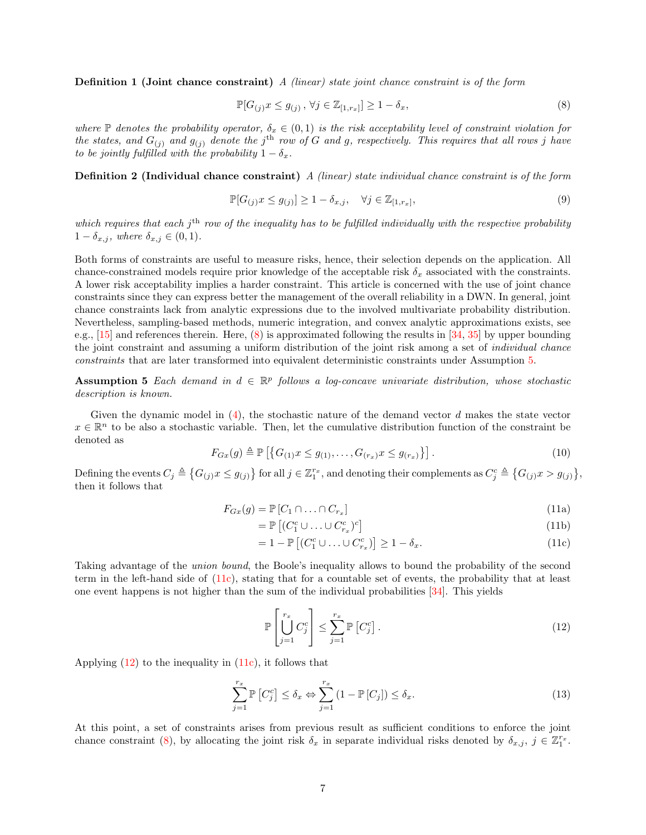**Definition 1 (Joint chance constraint)** A (linear) state joint chance constraint is of the form

<span id="page-6-0"></span>
$$
\mathbb{P}[G_{(j)}x \le g_{(j)}, \forall j \in \mathbb{Z}_{[1,r_x]}] \ge 1 - \delta_x,\tag{8}
$$

where  $\mathbb P$  denotes the probability operator,  $\delta_x \in (0,1)$  is the risk acceptability level of constraint violation for the states, and  $G_{(j)}$  and  $g_{(j)}$  denote the j<sup>th</sup> row of G and g, respectively. This requires that all rows j have to be jointly fulfilled with the probability  $1 - \delta_x$ .

**Definition 2 (Individual chance constraint)** A (linear) state individual chance constraint is of the form

$$
\mathbb{P}[G_{(j)}x \le g_{(j)}] \ge 1 - \delta_{x,j}, \quad \forall j \in \mathbb{Z}_{[1,r_x]},
$$
\n
$$
(9)
$$

which requires that each  $j<sup>th</sup>$  row of the inequality has to be fulfilled individually with the respective probability  $1 - \delta_{x,j}$ , where  $\delta_{x,j} \in (0,1)$ .

Both forms of constraints are useful to measure risks, hence, their selection depends on the application. All chance-constrained models require prior knowledge of the acceptable risk  $\delta_x$  associated with the constraints. A lower risk acceptability implies a harder constraint. This article is concerned with the use of joint chance constraints since they can express better the management of the overall reliability in a DWN. In general, joint chance constraints lack from analytic expressions due to the involved multivariate probability distribution. Nevertheless, sampling-based methods, numeric integration, and convex analytic approximations exists, see e.g.,  $[15]$  and references therein. Here,  $(8)$  is approximated following the results in  $[34, 35]$  $[34, 35]$  $[34, 35]$  by upper bounding the joint constraint and assuming a uniform distribution of the joint risk among a set of individual chance constraints that are later transformed into equivalent deterministic constraints under Assumption [5.](#page-6-1)

**Assumption 5** Each demand in  $d \in \mathbb{R}^p$  follows a log-concave univariate distribution, whose stochastic description is known.

Given the dynamic model in  $(4)$ , the stochastic nature of the demand vector d makes the state vector  $x \in \mathbb{R}^n$  to be also a stochastic variable. Then, let the cumulative distribution function of the constraint be denoted as

$$
F_{Gx}(g) \triangleq \mathbb{P}\left[\left\{G_{(1)}x \le g_{(1)}, \dots, G_{(r_x)}x \le g_{(r_x)}\right\}\right].
$$
\n(10)

Defining the events  $C_j \triangleq \big\{ G_{(j)} x \leq g_{(j)} \big\}$  for all  $j \in \mathbb{Z}_1^{r_x}$ , and denoting their complements as  $C_j^c \triangleq \big\{ G_{(j)} x > g_{(j)} \big\}$ , then it follows that

$$
F_{Gx}(g) = \mathbb{P}\left[C_1 \cap \ldots \cap C_{r_x}\right] \tag{11a}
$$

<span id="page-6-1"></span>
$$
= \mathbb{P}\left[ (C_1^c \cup \ldots \cup C_{r_x}^c)^c \right] \tag{11b}
$$

<span id="page-6-2"></span>
$$
= 1 - \mathbb{P}\left[ (C_1^c \cup \ldots \cup C_{r_x}^c) \right] \ge 1 - \delta_x. \tag{11c}
$$

Taking advantage of the union bound, the Boole's inequality allows to bound the probability of the second term in the left-hand side of [\(11c\)](#page-6-2), stating that for a countable set of events, the probability that at least one event happens is not higher than the sum of the individual probabilities [\[34\]](#page-16-4). This yields

<span id="page-6-3"></span>
$$
\mathbb{P}\left[\bigcup_{j=1}^{r_x} C_j^c\right] \le \sum_{j=1}^{r_x} \mathbb{P}\left[C_j^c\right].\tag{12}
$$

Applying  $(12)$  to the inequality in  $(11c)$ , it follows that

$$
\sum_{j=1}^{r_x} \mathbb{P}\left[C_j^c\right] \le \delta_x \Leftrightarrow \sum_{j=1}^{r_x} \left(1 - \mathbb{P}\left[C_j\right]\right) \le \delta_x. \tag{13}
$$

At this point, a set of constraints arises from previous result as sufficient conditions to enforce the joint chance constraint [\(8\)](#page-6-0), by allocating the joint risk  $\delta_x$  in separate individual risks denoted by  $\delta_{x,j}, j \in \mathbb{Z}_1^{r_x}$ .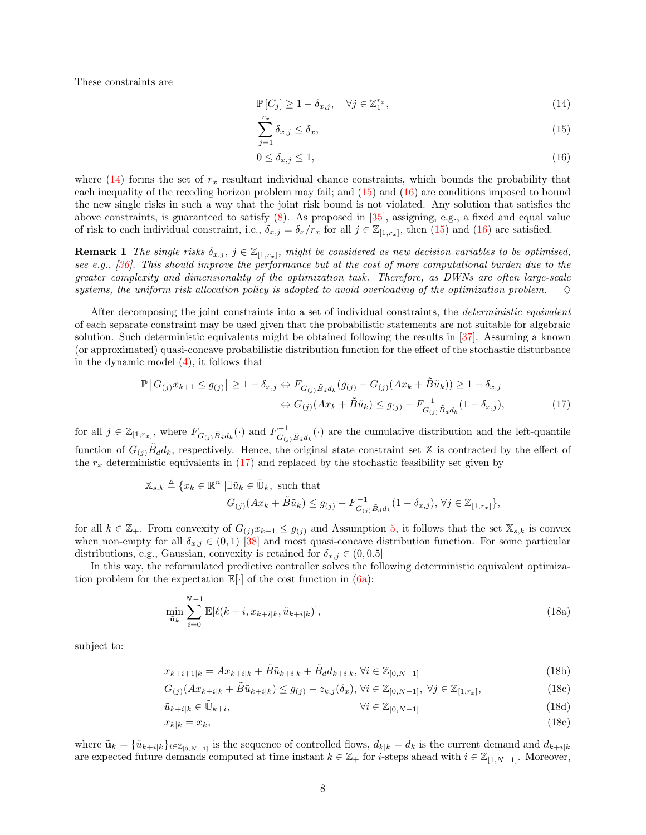These constraints are

<span id="page-7-1"></span><span id="page-7-0"></span>
$$
\mathbb{P}\left[C_j\right] \ge 1 - \delta_{x,j}, \quad \forall j \in \mathbb{Z}_1^{r_x},\tag{14}
$$

$$
\sum_{j=1}^{r_x} \delta_{x,j} \le \delta_x,\tag{15}
$$

<span id="page-7-3"></span><span id="page-7-2"></span>
$$
0 \le \delta_{x,j} \le 1,\tag{16}
$$

where  $(14)$  forms the set of  $r<sub>x</sub>$  resultant individual chance constraints, which bounds the probability that each inequality of the receding horizon problem may fail; and [\(15\)](#page-7-1) and [\(16\)](#page-7-2) are conditions imposed to bound the new single risks in such a way that the joint risk bound is not violated. Any solution that satisfies the above constraints, is guaranteed to satisfy [\(8\)](#page-6-0). As proposed in [\[35\]](#page-16-5), assigning, e.g., a fixed and equal value of risk to each individual constraint, i.e.,  $\delta_{x,j} = \delta_x/r_x$  for all  $j \in \mathbb{Z}_{[1,r_x]}$ , then [\(15\)](#page-7-1) and [\(16\)](#page-7-2) are satisfied.

**Remark 1** The single risks  $\delta_{x,j}$ ,  $j \in \mathbb{Z}_{[1,r_x]}$ , might be considered as new decision variables to be optimised, see e.g.,  $[36]$ . This should improve the performance but at the cost of more computational burden due to the greater complexity and dimensionality of the optimization task. Therefore, as DWNs are often large-scale systems, the uniform risk allocation policy is adopted to avoid overloading of the optimization problem.  $\diamond$ 

After decomposing the joint constraints into a set of individual constraints, the *deterministic equivalent* of each separate constraint may be used given that the probabilistic statements are not suitable for algebraic solution. Such deterministic equivalents might be obtained following the results in [\[37\]](#page-16-7). Assuming a known (or approximated) quasi-concave probabilistic distribution function for the effect of the stochastic disturbance in the dynamic model [\(4\)](#page-5-2), it follows that

$$
\mathbb{P}\left[G_{(j)}x_{k+1}\leq g_{(j)}\right] \geq 1-\delta_{x,j} \Leftrightarrow F_{G_{(j)}\tilde{B}_d d_k}(g_{(j)}-G_{(j)}(Ax_k+\tilde{B}\tilde{u}_k)) \geq 1-\delta_{x,j}
$$

$$
\Leftrightarrow G_{(j)}(Ax_k+\tilde{B}\tilde{u}_k) \leq g_{(j)}-F_{G_{(j)}\tilde{B}_d d_k}^{-1}(1-\delta_{x,j}),\tag{17}
$$

for all  $j \in \mathbb{Z}_{[1,r_x]}$ , where  $F_{G_{(j)}\tilde{B}_d d_k}(\cdot)$  and  $F^{-1}_{G_{(j)}\tilde{B}_d d_k}(\cdot)$  are the cumulative distribution and the left-quantile function of  $G_{(j)}\tilde{B}_d d_k$ , respectively. Hence, the original state constraint set X is contracted by the effect of the  $r_x$  deterministic equivalents in [\(17\)](#page-7-3) and replaced by the stochastic feasibility set given by

$$
\mathbb{X}_{s,k} \triangleq \{ x_k \in \mathbb{R}^n \mid \exists \tilde{u}_k \in \bar{\mathbb{U}}_k, \text{ such that}
$$
  

$$
G_{(j)}(Ax_k + \tilde{B}\tilde{u}_k) \leq g_{(j)} - F^{-1}_{G_{(j)}\tilde{B}_d d_k}(1 - \delta_{x,j}), \forall j \in \mathbb{Z}_{[1,r_x]}\},
$$

for all  $k \in \mathbb{Z}_+$ . From convexity of  $G_{(j)}x_{k+1} \leq g_{(j)}$  and Assumption [5,](#page-6-1) it follows that the set  $\mathbb{X}_{s,k}$  is convex when non-empty for all  $\delta_{x,j} \in (0,1)$  [\[38\]](#page-16-8) and most quasi-concave distribution function. For some particular distributions, e.g., Gaussian, convexity is retained for  $\delta_{x,j} \in (0,0.5]$ 

In this way, the reformulated predictive controller solves the following deterministic equivalent optimization problem for the expectation  $\mathbb{E}[\cdot]$  of the cost function in  $(6a)$ :

$$
\min_{\tilde{\mathbf{u}}_k} \sum_{i=0}^{N-1} \mathbb{E}[\ell(k+i, x_{k+i|k}, \tilde{u}_{k+i|k})],
$$
\n(18a)

subject to:

$$
x_{k+i+1|k} = Ax_{k+i|k} + \tilde{B}\tilde{u}_{k+i|k} + \tilde{B}_d d_{k+i|k}, \forall i \in \mathbb{Z}_{[0,N-1]}
$$
\n(18b)

$$
G_{(j)}(Ax_{k+i|k} + \tilde{B}\tilde{u}_{k+i|k}) \le g_{(j)} - z_{k,j}(\delta_x), \forall i \in \mathbb{Z}_{[0,N-1]}, \forall j \in \mathbb{Z}_{[1,r_x]},
$$
\n(18c)

$$
\tilde{u}_{k+i|k} \in \tilde{U}_{k+i}, \qquad \qquad \forall i \in \mathbb{Z}_{[0,N-1]} \tag{18d}
$$

$$
x_{k|k} = x_k,\tag{18e}
$$

where  $\tilde{\mathbf{u}}_k = {\tilde{u}_{k+i|k}}_{i \in \mathbb{Z}_{[0,N-1]}}$  is the sequence of controlled flows,  $d_{k|k} = d_k$  is the current demand and  $d_{k+i|k}$ are expected future demands computed at time instant  $k \in \mathbb{Z}_+$  for *i*-steps ahead with  $i \in \mathbb{Z}_{[1,N-1]}$ . Moreover,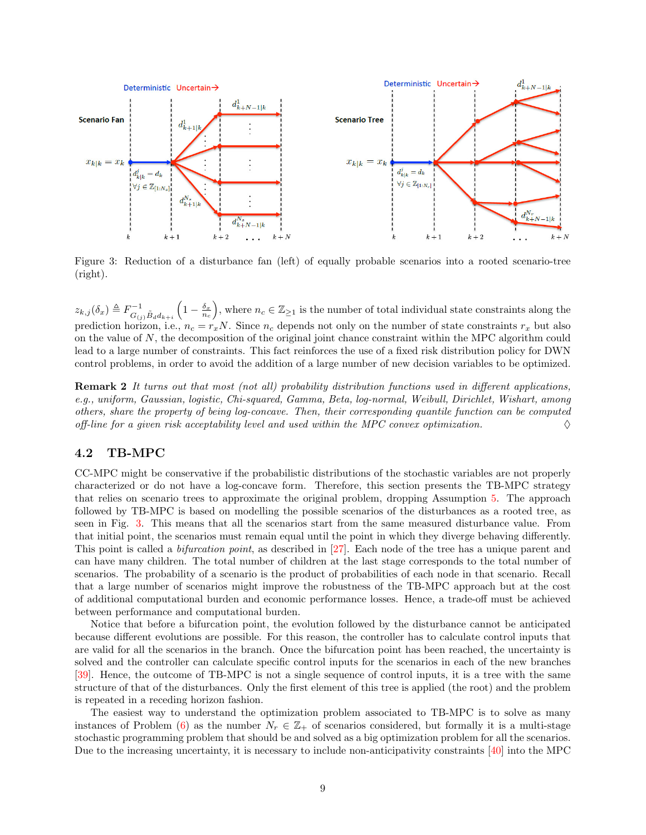

<span id="page-8-0"></span>Figure 3: Reduction of a disturbance fan (left) of equally probable scenarios into a rooted scenario-tree (right).

 $z_{k,j}(\delta_x) \triangleq F_{G_{(j)}\tilde{B}_d d_{k+i}}^{-1}$  $\left(1-\frac{\delta_x}{n_c}\right)$ , where  $n_c \in \mathbb{Z}_{\geq 1}$  is the number of total individual state constraints along the prediction horizon, i.e.,  $n_c = r_x N$ . Since  $n_c$  depends not only on the number of state constraints  $r_x$  but also on the value of N, the decomposition of the original joint chance constraint within the MPC algorithm could lead to a large number of constraints. This fact reinforces the use of a fixed risk distribution policy for DWN control problems, in order to avoid the addition of a large number of new decision variables to be optimized.

**Remark 2** It turns out that most (not all) probability distribution functions used in different applications, e.g., uniform, Gaussian, logistic, Chi-squared, Gamma, Beta, log-normal, Weibull, Dirichlet, Wishart, among others, share the property of being log-concave. Then, their corresponding quantile function can be computed off-line for a given risk acceptability level and used within the MPC convex optimization.  $\Diamond$ 

### 4.2 TB-MPC

CC-MPC might be conservative if the probabilistic distributions of the stochastic variables are not properly characterized or do not have a log-concave form. Therefore, this section presents the TB-MPC strategy that relies on scenario trees to approximate the original problem, dropping Assumption [5.](#page-6-1) The approach followed by TB-MPC is based on modelling the possible scenarios of the disturbances as a rooted tree, as seen in Fig. [3.](#page-8-0) This means that all the scenarios start from the same measured disturbance value. From that initial point, the scenarios must remain equal until the point in which they diverge behaving differently. This point is called a bifurcation point, as described in [\[27\]](#page-15-15). Each node of the tree has a unique parent and can have many children. The total number of children at the last stage corresponds to the total number of scenarios. The probability of a scenario is the product of probabilities of each node in that scenario. Recall that a large number of scenarios might improve the robustness of the TB-MPC approach but at the cost of additional computational burden and economic performance losses. Hence, a trade-off must be achieved between performance and computational burden.

Notice that before a bifurcation point, the evolution followed by the disturbance cannot be anticipated because different evolutions are possible. For this reason, the controller has to calculate control inputs that are valid for all the scenarios in the branch. Once the bifurcation point has been reached, the uncertainty is solved and the controller can calculate specific control inputs for the scenarios in each of the new branches [\[39\]](#page-16-9). Hence, the outcome of TB-MPC is not a single sequence of control inputs, it is a tree with the same structure of that of the disturbances. Only the first element of this tree is applied (the root) and the problem is repeated in a receding horizon fashion.

The easiest way to understand the optimization problem associated to TB-MPC is to solve as many instances of Problem [\(6\)](#page-5-1) as the number  $N_r \in \mathbb{Z}_+$  of scenarios considered, but formally it is a multi-stage stochastic programming problem that should be and solved as a big optimization problem for all the scenarios. Due to the increasing uncertainty, it is necessary to include non-anticipativity constraints [\[40\]](#page-16-10) into the MPC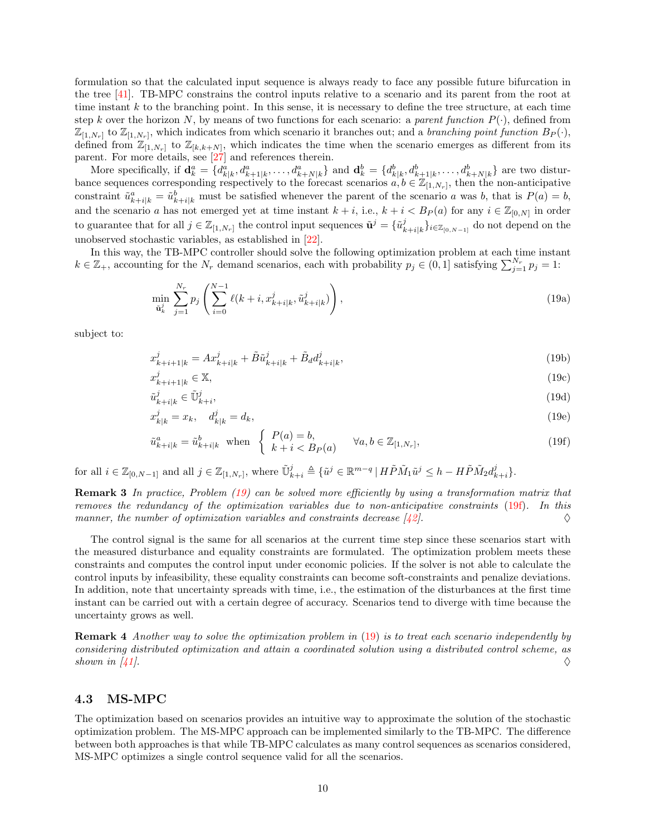formulation so that the calculated input sequence is always ready to face any possible future bifurcation in the tree  $[41]$ . TB-MPC constrains the control inputs relative to a scenario and its parent from the root at time instant  $k$  to the branching point. In this sense, it is necessary to define the tree structure, at each time step k over the horizon N, by means of two functions for each scenario: a parent function  $P(\cdot)$ , defined from  $\mathbb{Z}_{[1,N_r]}$  to  $\mathbb{Z}_{[1,N_r]}$ , which indicates from which scenario it branches out; and a branching point function  $B_P(\cdot)$ , defined from  $\mathbb{Z}_{[1,N_r]}$  to  $\mathbb{Z}_{[k,k+N]}$ , which indicates the time when the scenario emerges as different from its parent. For more details, see [\[27\]](#page-15-15) and references therein.

More specifically, if  $\mathbf{d}_k^a = \{d_{k|k}^a, d_{k+1|k}^a, \ldots, d_{k+N|k}^a\}$  and  $\mathbf{d}_k^b = \{d_{k|k}^b, d_{k+1|k}^b, \ldots, d_{k+N|k}^b\}$  are two disturbance sequences corresponding respectively to the forecast scenarios  $a, b \in \mathbb{Z}_{[1,N_r]}$ , then the non-anticipative constraint  $\tilde{u}_{k+i|k}^a = \tilde{u}_{k+i|k}^b$  must be satisfied whenever the parent of the scenario a was b, that is  $P(a) = b$ , and the scenario a has not emerged yet at time instant  $k + i$ , i.e.,  $k + i < B_P(a)$  for any  $i \in \mathbb{Z}_{[0,N]}$  in order to guarantee that for all  $j \in \mathbb{Z}_{[1,N_r]}$  the control input sequences  $\tilde{\mathbf{u}}^j = \{\tilde{u}_k^j\}$  $\{e^{j}_{k+i|k}\}_{i \in \mathbb{Z}_{[0,N-1]}}$  do not depend on the unobserved stochastic variables, as established in [\[22\]](#page-15-10).

In this way, the TB-MPC controller should solve the following optimization problem at each time instant  $k \in \mathbb{Z}_+$ , accounting for the  $N_r$  demand scenarios, each with probability  $p_j \in (0,1]$  satisfying  $\sum_{j=1}^{N_r} p_j = 1$ :

<span id="page-9-0"></span>
$$
\min_{\tilde{\mathbf{u}}_k^j} \sum_{j=1}^{N_r} p_j \left( \sum_{i=0}^{N-1} \ell(k+i, x_{k+i|k}^j, \tilde{u}_{k+i|k}^j) \right), \tag{19a}
$$

subject to:

$$
x_{k+i+1|k}^j = Ax_{k+i|k}^j + \tilde{B}\tilde{u}_{k+i|k}^j + \tilde{B}_d d_{k+i|k}^j,\tag{19b}
$$

$$
x_{k+i+1|k}^j \in \mathbb{X},\tag{19c}
$$

$$
\tilde{u}_{k+i|k}^j \in \tilde{\mathbb{U}}_{k+i}^j,\tag{19d}
$$

$$
x_{k|k}^j = x_k, \quad d_{k|k}^j = d_k,\tag{19e}
$$

<span id="page-9-1"></span>
$$
\tilde{u}_{k+i|k}^a = \tilde{u}_{k+i|k}^b \quad \text{when} \quad\n\begin{cases}\nP(a) = b, \\
k + i < B_P(a)\n\end{cases}\n\quad \forall a, b \in \mathbb{Z}_{[1,N_r]},\n\tag{19f}
$$

for all  $i \in \mathbb{Z}_{[0,N-1]}$  and all  $j \in \mathbb{Z}_{[1,N_r]}$ , where  $\tilde{\mathbb{U}}_{k+i}^j \triangleq \{ \tilde{u}^j \in \mathbb{R}^{m-q} \mid H\tilde{P}\tilde{M}_1\tilde{u}^j \leq h - H\tilde{P}\tilde{M}_2 d_{k+i}^j \}.$ 

Remark 3 In practice, Problem [\(19\)](#page-9-0) can be solved more efficiently by using a transformation matrix that removes the redundancy of the optimization variables due to non-anticipative constraints [\(19f\)](#page-9-1). In this manner, the number of optimization variables and constraints decrease  $[42]$ .

The control signal is the same for all scenarios at the current time step since these scenarios start with the measured disturbance and equality constraints are formulated. The optimization problem meets these constraints and computes the control input under economic policies. If the solver is not able to calculate the control inputs by infeasibility, these equality constraints can become soft-constraints and penalize deviations. In addition, note that uncertainty spreads with time, i.e., the estimation of the disturbances at the first time instant can be carried out with a certain degree of accuracy. Scenarios tend to diverge with time because the uncertainty grows as well.

Remark 4 Another way to solve the optimization problem in [\(19\)](#page-9-0) is to treat each scenario independently by considering distributed optimization and attain a coordinated solution using a distributed control scheme, as shown in [\[41\]](#page-16-11).  $\diamond$ 

### <span id="page-9-2"></span>4.3 MS-MPC

The optimization based on scenarios provides an intuitive way to approximate the solution of the stochastic optimization problem. The MS-MPC approach can be implemented similarly to the TB-MPC. The difference between both approaches is that while TB-MPC calculates as many control sequences as scenarios considered, MS-MPC optimizes a single control sequence valid for all the scenarios.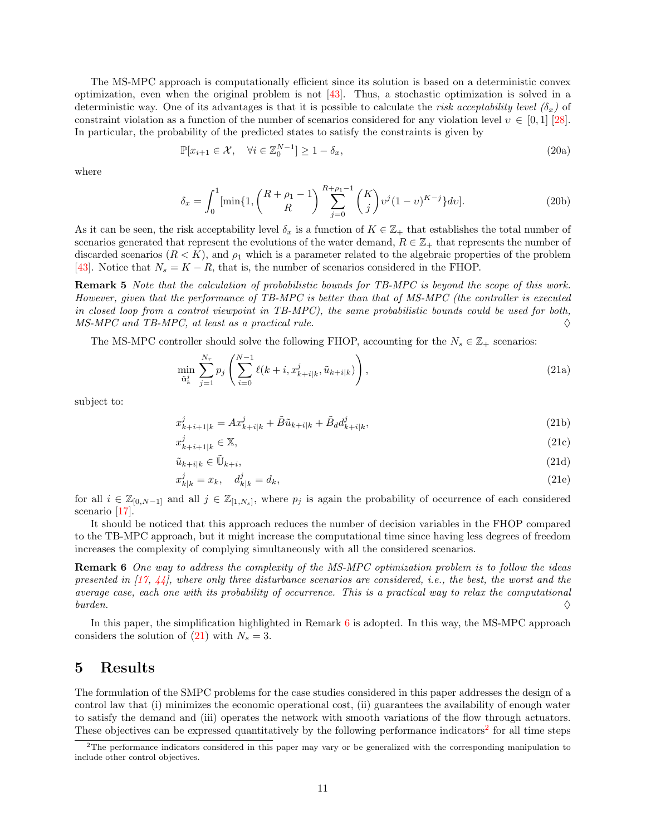The MS-MPC approach is computationally efficient since its solution is based on a deterministic convex optimization, even when the original problem is not [\[43\]](#page-16-13). Thus, a stochastic optimization is solved in a deterministic way. One of its advantages is that it is possible to calculate the risk acceptability level  $(\delta_x)$  of constraint violation as a function of the number of scenarios considered for any violation level  $v \in [0,1]$  [\[28\]](#page-15-16). In particular, the probability of the predicted states to satisfy the constraints is given by

<span id="page-10-5"></span>
$$
\mathbb{P}[x_{i+1} \in \mathcal{X}, \quad \forall i \in \mathbb{Z}_0^{N-1}] \ge 1 - \delta_x,\tag{20a}
$$

where

$$
\delta_x = \int_0^1 [\min\{1, \binom{R+\rho_1-1}{R} \sum_{j=0}^{R+\rho_1-1} \binom{K}{j} v^j (1-v)^{K-j}\} dv]. \tag{20b}
$$

As it can be seen, the risk acceptability level  $\delta_x$  is a function of  $K \in \mathbb{Z}_+$  that establishes the total number of scenarios generated that represent the evolutions of the water demand,  $R \in \mathbb{Z}_+$  that represents the number of discarded scenarios  $(R < K)$ , and  $\rho_1$  which is a parameter related to the algebraic properties of the problem [\[43\]](#page-16-13). Notice that  $N_s = K - R$ , that is, the number of scenarios considered in the FHOP.

Remark 5 Note that the calculation of probabilistic bounds for TB-MPC is beyond the scope of this work. However, given that the performance of TB-MPC is better than that of MS-MPC (the controller is executed in closed loop from a control viewpoint in TB-MPC), the same probabilistic bounds could be used for both,  $MS-MPC$  and TB-MPC, at least as a practical rule.  $\Diamond$ 

The MS-MPC controller should solve the following FHOP, accounting for the  $N_s \in \mathbb{Z}_+$  scenarios:

<span id="page-10-3"></span>
$$
\min_{\tilde{\mathbf{u}}_k^j} \sum_{j=1}^{N_r} p_j \left( \sum_{i=0}^{N-1} \ell(k+i, x_{k+i|k}^j, \tilde{u}_{k+i|k}) \right), \tag{21a}
$$

subject to:

$$
x_{k+i+1|k}^j = Ax_{k+i|k}^j + \tilde{B}\tilde{u}_{k+i|k} + \tilde{B}_d d_{k+i|k}^j,
$$
\n(21b)

<span id="page-10-1"></span>
$$
x_{k+i+1|k}^j \in \mathbb{X},\tag{21c}
$$

$$
\tilde{u}_{k+i|k} \in \tilde{\mathbb{U}}_{k+i},\tag{21d}
$$

$$
x_{k|k}^j = x_k, \quad d_{k|k}^j = d_k,\tag{21e}
$$

for all  $i \in \mathbb{Z}_{[0,N-1]}$  and all  $j \in \mathbb{Z}_{[1,N_s]}$ , where  $p_j$  is again the probability of occurrence of each considered scenario [\[17\]](#page-15-5).

It should be noticed that this approach reduces the number of decision variables in the FHOP compared to the TB-MPC approach, but it might increase the computational time since having less degrees of freedom increases the complexity of complying simultaneously with all the considered scenarios.

<span id="page-10-2"></span>**Remark 6** One way to address the complexity of the MS-MPC optimization problem is to follow the ideas presented in  $[17, 44]$  $[17, 44]$  $[17, 44]$ , where only three disturbance scenarios are considered, i.e., the best, the worst and the average case, each one with its probability of occurrence. This is a practical way to relax the computational burden.  $\Diamond$ 

In this paper, the simplification highlighted in Remark [6](#page-10-2) is adopted. In this way, the MS-MPC approach considers the solution of  $(21)$  with  $N_s = 3$ .

### <span id="page-10-0"></span>5 Results

The formulation of the SMPC problems for the case studies considered in this paper addresses the design of a control law that (i) minimizes the economic operational cost, (ii) guarantees the availability of enough water to satisfy the demand and (iii) operates the network with smooth variations of the flow through actuators. These objectives can be expressed quantitatively by the following performance indicators<sup>[2](#page-10-4)</sup> for all time steps

<span id="page-10-4"></span> $2$ The performance indicators considered in this paper may vary or be generalized with the corresponding manipulation to include other control objectives.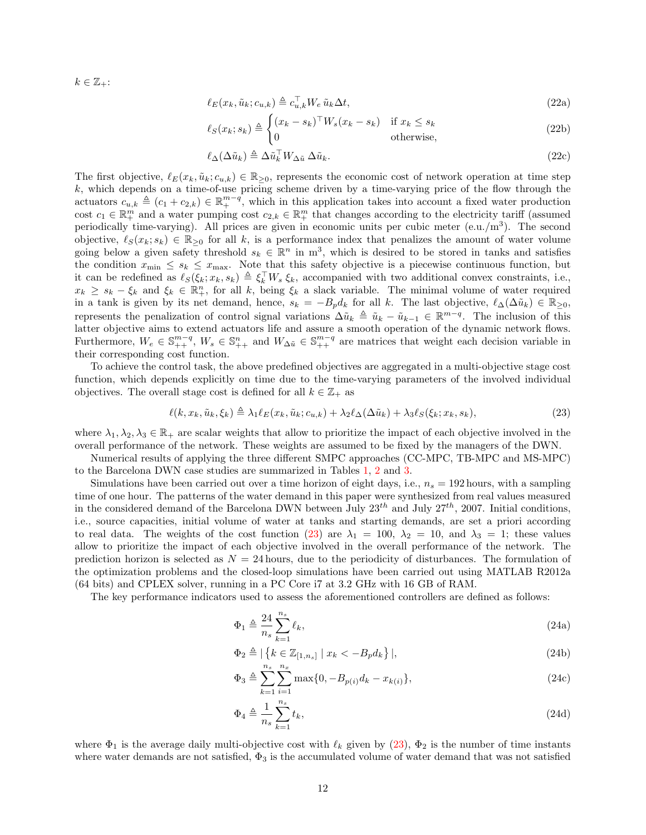$k \in \mathbb{Z}_+$ :

$$
\ell_E(x_k, \tilde{u}_k; c_{u,k}) \triangleq c_{u,k}^\top W_e \tilde{u}_k \Delta t,\tag{22a}
$$

$$
\ell_S(x_k; s_k) \triangleq \begin{cases} (x_k - s_k)^\top W_s(x_k - s_k) & \text{if } x_k \le s_k \\ 0 & \text{otherwise,} \end{cases}
$$
 (22b)

$$
\ell_{\Delta}(\Delta \tilde{u}_k) \triangleq \Delta \tilde{u}_k^{\top} W_{\Delta \tilde{u}} \Delta \tilde{u}_k. \tag{22c}
$$

The first objective,  $\ell_E(x_k, \tilde{u}_k; c_{u,k}) \in \mathbb{R}_{\geq 0}$ , represents the economic cost of network operation at time step  $k$ , which depends on a time-of-use pricing scheme driven by a time-varying price of the flow through the actuators  $c_{u,k} \triangleq (c_1 + c_{2,k}) \in \mathbb{R}^{m-q}_+$ , which in this application takes into account a fixed water production cost  $c_1 \in \mathbb{R}^m_+$  and a water pumping cost  $c_{2,k} \in \mathbb{R}^m_+$  that changes according to the electricity tariff (assumed periodically time-varying). All prices are given in economic units per cubic meter  $(e.u./m^3)$ . The second objective,  $\ell_S(x_k; s_k) \in \mathbb{R}_{\geq 0}$  for all k, is a performance index that penalizes the amount of water volume going below a given safety threshold  $s_k \in \mathbb{R}^n$  in  $m^3$ , which is desired to be stored in tanks and satisfies the condition  $x_{\min} \leq s_k \leq x_{\max}$ . Note that this safety objective is a piecewise continuous function, but it can be redefined as  $\ell_S(\xi_k; x_k, s_k) \triangleq \xi_k^{\top} W_s \xi_k$ , accompanied with two additional convex constraints, i.e.,  $x_k \geq s_k - \xi_k$  and  $\xi_k \in \mathbb{R}^n_+$ , for all k, being  $\xi_k$  a slack variable. The minimal volume of water required in a tank is given by its net demand, hence,  $s_k = -B_p d_k$  for all k. The last objective,  $\ell_{\Delta}(\Delta \tilde{u}_k) \in \mathbb{R}_{\geq 0}$ , represents the penalization of control signal variations  $\Delta \tilde{u}_k \triangleq \tilde{u}_k - \tilde{u}_{k-1} \in \mathbb{R}^{m-q}$ . The inclusion of this latter objective aims to extend actuators life and assure a smooth operation of the dynamic network flows. Furthermore,  $W_e \in \mathbb{S}_{++}^{m-q}$ ,  $W_s \in \mathbb{S}_{++}^n$  and  $W_{\Delta \tilde{u}} \in \mathbb{S}_{++}^{m-q}$  are matrices that weight each decision variable in their corresponding cost function.

To achieve the control task, the above predefined objectives are aggregated in a multi-objective stage cost function, which depends explicitly on time due to the time-varying parameters of the involved individual objectives. The overall stage cost is defined for all  $k \in \mathbb{Z}_+$  as

<span id="page-11-0"></span>
$$
\ell(k, x_k, \tilde{u}_k, \xi_k) \triangleq \lambda_1 \ell_E(x_k, \tilde{u}_k; c_{u,k}) + \lambda_2 \ell_\Delta(\Delta \tilde{u}_k) + \lambda_3 \ell_S(\xi_k; x_k, s_k),\tag{23}
$$

where  $\lambda_1, \lambda_2, \lambda_3 \in \mathbb{R}_+$  are scalar weights that allow to prioritize the impact of each objective involved in the overall performance of the network. These weights are assumed to be fixed by the managers of the DWN.

Numerical results of applying the three different SMPC approaches (CC-MPC, TB-MPC and MS-MPC) to the Barcelona DWN case studies are summarized in Tables [1,](#page-12-0) [2](#page-13-1) and [3.](#page-13-2)

Simulations have been carried out over a time horizon of eight days, i.e.,  $n_s = 192$  hours, with a sampling time of one hour. The patterns of the water demand in this paper were synthesized from real values measured in the considered demand of the Barcelona DWN between July  $23^{th}$  and July  $27^{th}$ , 2007. Initial conditions, i.e., source capacities, initial volume of water at tanks and starting demands, are set a priori according to real data. The weights of the cost function [\(23\)](#page-11-0) are  $\lambda_1 = 100$ ,  $\lambda_2 = 10$ , and  $\lambda_3 = 1$ ; these values allow to prioritize the impact of each objective involved in the overall performance of the network. The prediction horizon is selected as  $N = 24$  hours, due to the periodicity of disturbances. The formulation of the optimization problems and the closed-loop simulations have been carried out using MATLAB R2012a (64 bits) and CPLEX solver, running in a PC Core i7 at 3.2 GHz with 16 GB of RAM.

The key performance indicators used to assess the aforementioned controllers are defined as follows:

$$
\Phi_1 \triangleq \frac{24}{n_s} \sum_{k=1}^{n_s} \ell_k,\tag{24a}
$$

$$
\Phi_2 \triangleq |\left\{ k \in \mathbb{Z}_{[1,n_s]} \mid x_k < -B_p d_k \right\}|,\tag{24b}
$$

$$
\Phi_3 \triangleq \sum_{k=1}^{n_s} \sum_{i=1}^{n_x} \max\{0, -B_{p(i)}d_k - x_{k(i)}\},\tag{24c}
$$

$$
\Phi_4 \triangleq \frac{1}{n_s} \sum_{k=1}^{n_s} t_k,\tag{24d}
$$

where  $\Phi_1$  is the average daily multi-objective cost with  $\ell_k$  given by [\(23\)](#page-11-0),  $\Phi_2$  is the number of time instants where water demands are not satisfied,  $\Phi_3$  is the accumulated volume of water demand that was not satisfied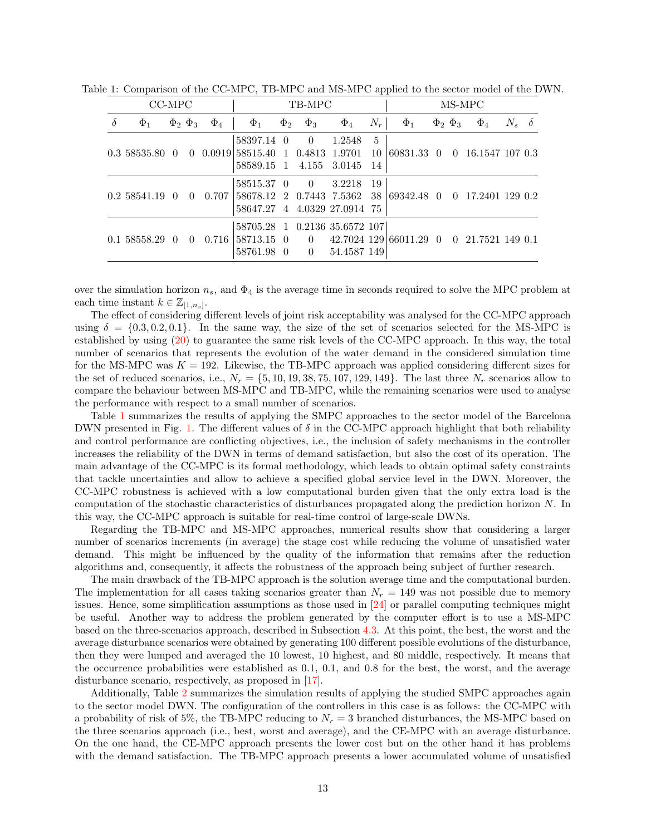<span id="page-12-0"></span>

| CC-MPC   |                 |          |                   | TB-MPC   |                                                                            |          |                      | MS-MPC      |                 |                        |  |                   |                   |              |  |
|----------|-----------------|----------|-------------------|----------|----------------------------------------------------------------------------|----------|----------------------|-------------|-----------------|------------------------|--|-------------------|-------------------|--------------|--|
| $\delta$ | $\Phi_1$        |          | $\Phi_2$ $\Phi_3$ | $\Phi_4$ | $\Phi_1$                                                                   | $\Phi_2$ | $\Phi_3$             | $\Phi_4$    | $N_r$           | $\Phi_1$               |  | $\Phi_2$ $\Phi_3$ | $\Phi_4$          | $N_s \delta$ |  |
|          | 0.358535.800    |          |                   |          | 58397.14 0<br>0 0.0919 58515.40 1 0.4813 1.9701<br>58589.15 1 4.155 3.0145 |          | $\overline{0}$       | 1.2548      | 5<br>10<br>- 14 | 60831.33 0             |  |                   | 0 16.1547 107 0.3 |              |  |
|          | $0.258541.19$ 0 |          | $\theta$          | 0.707    | 58515.37 0<br>58678.12 2 0.7443 7.5362 38<br>58647.27 4 4.0329 27.0914 75  |          | $\theta$             | 3.2218      | -19             | 69342.48 0             |  |                   | 0 17.2401 129 0.2 |              |  |
|          | 0.1 58558.29    | $\Omega$ | $\Omega$          | 0.716    | 58705.28 1 0.2136 35.6572 107<br>58713.15 0<br>58761.98 0                  |          | $\theta$<br>$\theta$ | 54.4587 149 |                 | 42.7024 129 66011.29 0 |  |                   | 0 21.7521 149 0.1 |              |  |

Table 1: Comparison of the CC-MPC, TB-MPC and MS-MPC applied to the sector model of the DWN.

over the simulation horizon  $n_s$ , and  $\Phi_4$  is the average time in seconds required to solve the MPC problem at each time instant  $k \in \mathbb{Z}_{[1,n_s]}$ .

The effect of considering different levels of joint risk acceptability was analysed for the CC-MPC approach using  $\delta = \{0.3, 0.2, 0.1\}$ . In the same way, the size of the set of scenarios selected for the MS-MPC is established by using [\(20\)](#page-10-5) to guarantee the same risk levels of the CC-MPC approach. In this way, the total number of scenarios that represents the evolution of the water demand in the considered simulation time for the MS-MPC was  $K = 192$ . Likewise, the TB-MPC approach was applied considering different sizes for the set of reduced scenarios, i.e.,  $N_r = \{5, 10, 19, 38, 75, 107, 129, 149\}$ . The last three  $N_r$  scenarios allow to compare the behaviour between MS-MPC and TB-MPC, while the remaining scenarios were used to analyse the performance with respect to a small number of scenarios.

Table [1](#page-12-0) summarizes the results of applying the SMPC approaches to the sector model of the Barcelona DWN presented in Fig. [1.](#page-3-1) The different values of  $\delta$  in the CC-MPC approach highlight that both reliability and control performance are conflicting objectives, i.e., the inclusion of safety mechanisms in the controller increases the reliability of the DWN in terms of demand satisfaction, but also the cost of its operation. The main advantage of the CC-MPC is its formal methodology, which leads to obtain optimal safety constraints that tackle uncertainties and allow to achieve a specified global service level in the DWN. Moreover, the CC-MPC robustness is achieved with a low computational burden given that the only extra load is the computation of the stochastic characteristics of disturbances propagated along the prediction horizon N. In this way, the CC-MPC approach is suitable for real-time control of large-scale DWNs.

Regarding the TB-MPC and MS-MPC approaches, numerical results show that considering a larger number of scenarios increments (in average) the stage cost while reducing the volume of unsatisfied water demand. This might be influenced by the quality of the information that remains after the reduction algorithms and, consequently, it affects the robustness of the approach being subject of further research.

The main drawback of the TB-MPC approach is the solution average time and the computational burden. The implementation for all cases taking scenarios greater than  $N_r = 149$  was not possible due to memory issues. Hence, some simplification assumptions as those used in [\[24\]](#page-15-12) or parallel computing techniques might be useful. Another way to address the problem generated by the computer effort is to use a MS-MPC based on the three-scenarios approach, described in Subsection [4.3.](#page-9-2) At this point, the best, the worst and the average disturbance scenarios were obtained by generating 100 different possible evolutions of the disturbance, then they were lumped and averaged the 10 lowest, 10 highest, and 80 middle, respectively. It means that the occurrence probabilities were established as 0.1, 0.1, and 0.8 for the best, the worst, and the average disturbance scenario, respectively, as proposed in [\[17\]](#page-15-5).

Additionally, Table [2](#page-13-1) summarizes the simulation results of applying the studied SMPC approaches again to the sector model DWN. The configuration of the controllers in this case is as follows: the CC-MPC with a probability of risk of 5%, the TB-MPC reducing to  $N_r = 3$  branched disturbances, the MS-MPC based on the three scenarios approach (i.e., best, worst and average), and the CE-MPC with an average disturbance. On the one hand, the CE-MPC approach presents the lower cost but on the other hand it has problems with the demand satisfaction. The TB-MPC approach presents a lower accumulated volume of unsatisfied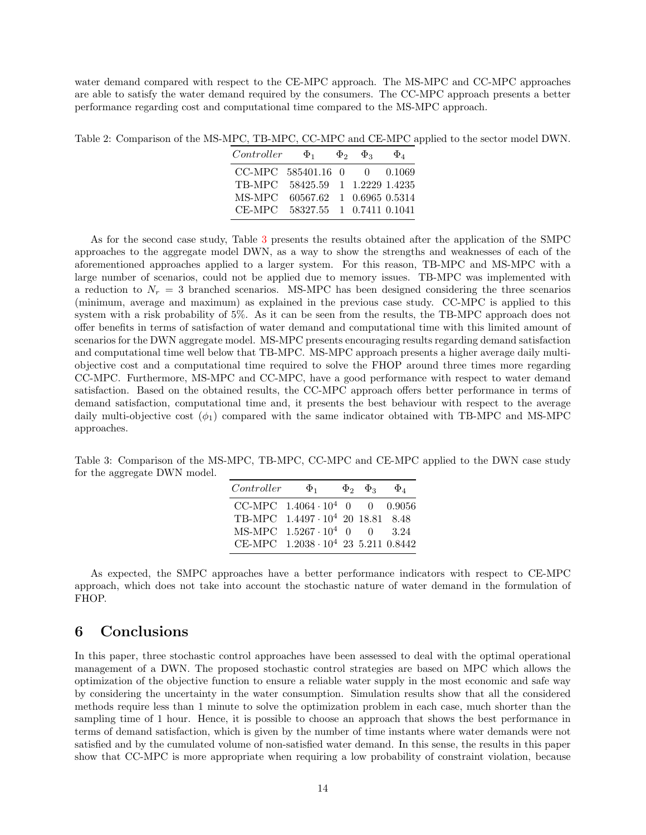water demand compared with respect to the CE-MPC approach. The MS-MPC and CC-MPC approaches are able to satisfy the water demand required by the consumers. The CC-MPC approach presents a better performance regarding cost and computational time compared to the MS-MPC approach.

<span id="page-13-1"></span>Table 2: Comparison of the MS-MPC, TB-MPC, CC-MPC and CE-MPC applied to the sector model DWN.

| Controller | $\Phi_1$                       | $\Phi_2$ $\Phi_3$ | $\Phi$ <sub>4</sub> |
|------------|--------------------------------|-------------------|---------------------|
| CC-MPC     | 585401.16 0                    | $\overline{0}$    | 0.1069              |
| TB-MPC     | 58425.59 1 1.2229 1.4235       |                   |                     |
| MS-MPC     | 60567.62 1 0.6965 0.5314       |                   |                     |
| CE-MPC     | 58327.55   1   0.7411   0.1041 |                   |                     |

As for the second case study, Table [3](#page-13-2) presents the results obtained after the application of the SMPC approaches to the aggregate model DWN, as a way to show the strengths and weaknesses of each of the aforementioned approaches applied to a larger system. For this reason, TB-MPC and MS-MPC with a large number of scenarios, could not be applied due to memory issues. TB-MPC was implemented with a reduction to  $N_r = 3$  branched scenarios. MS-MPC has been designed considering the three scenarios (minimum, average and maximum) as explained in the previous case study. CC-MPC is applied to this system with a risk probability of 5%. As it can be seen from the results, the TB-MPC approach does not offer benefits in terms of satisfaction of water demand and computational time with this limited amount of scenarios for the DWN aggregate model. MS-MPC presents encouraging results regarding demand satisfaction and computational time well below that TB-MPC. MS-MPC approach presents a higher average daily multiobjective cost and a computational time required to solve the FHOP around three times more regarding CC-MPC. Furthermore, MS-MPC and CC-MPC, have a good performance with respect to water demand satisfaction. Based on the obtained results, the CC-MPC approach offers better performance in terms of demand satisfaction, computational time and, it presents the best behaviour with respect to the average daily multi-objective cost  $(\phi_1)$  compared with the same indicator obtained with TB-MPC and MS-MPC approaches.

<span id="page-13-2"></span>Table 3: Comparison of the MS-MPC, TB-MPC, CC-MPC and CE-MPC applied to the DWN case study for the aggregate DWN model.

| Controller | $\Phi_1$                                   | $\Phi_2$ $\Phi_3$ | $\Phi_{4}$ |
|------------|--------------------------------------------|-------------------|------------|
|            | CC-MPC $1.4064 \cdot 10^4$ 0 0 0.9056      |                   |            |
|            | TB-MPC $1.4497 \cdot 10^4$ 20 18.81 8.48   |                   |            |
|            | $MS-MPC$ 1.5267 · 10 <sup>4</sup> 0 0 3.24 |                   |            |
|            | CE-MPC $1.2038 \cdot 10^4$ 23 5.211 0.8442 |                   |            |

As expected, the SMPC approaches have a better performance indicators with respect to CE-MPC approach, which does not take into account the stochastic nature of water demand in the formulation of FHOP.

# <span id="page-13-0"></span>6 Conclusions

In this paper, three stochastic control approaches have been assessed to deal with the optimal operational management of a DWN. The proposed stochastic control strategies are based on MPC which allows the optimization of the objective function to ensure a reliable water supply in the most economic and safe way by considering the uncertainty in the water consumption. Simulation results show that all the considered methods require less than 1 minute to solve the optimization problem in each case, much shorter than the sampling time of 1 hour. Hence, it is possible to choose an approach that shows the best performance in terms of demand satisfaction, which is given by the number of time instants where water demands were not satisfied and by the cumulated volume of non-satisfied water demand. In this sense, the results in this paper show that CC-MPC is more appropriate when requiring a low probability of constraint violation, because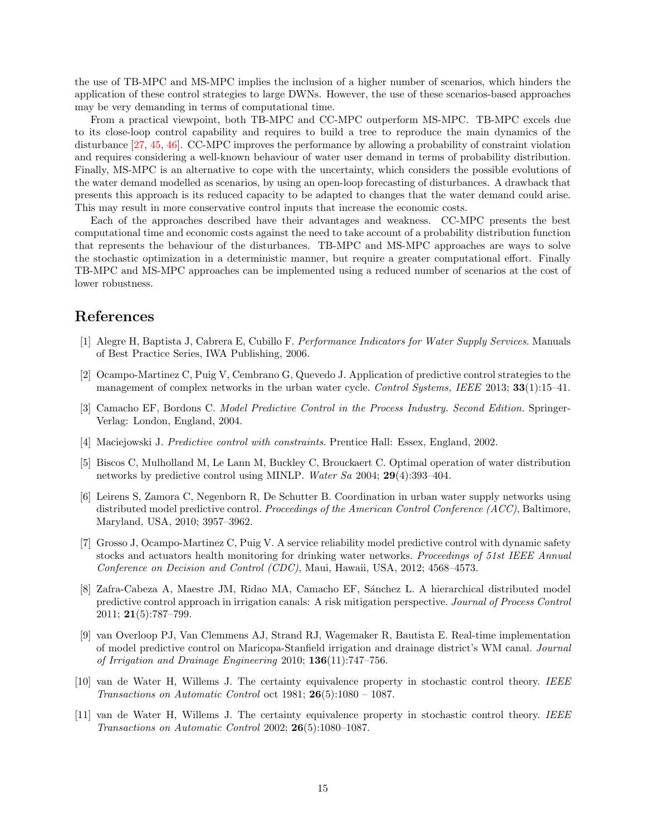the use of TB-MPC and MS-MPC implies the inclusion of a higher number of scenarios, which hinders the application of these control strategies to large DWNs. However, the use of these scenarios-based approaches may be very demanding in terms of computational time.

From a practical viewpoint, both TB-MPC and CC-MPC outperform MS-MPC. TB-MPC excels due to its close-loop control capability and requires to build a tree to reproduce the main dynamics of the disturbance [\[27,](#page-15-15) [45,](#page-16-15) [46\]](#page-16-16). CC-MPC improves the performance by allowing a probability of constraint violation and requires considering a well-known behaviour of water user demand in terms of probability distribution. Finally, MS-MPC is an alternative to cope with the uncertainty, which considers the possible evolutions of the water demand modelled as scenarios, by using an open-loop forecasting of disturbances. A drawback that presents this approach is its reduced capacity to be adapted to changes that the water demand could arise. This may result in more conservative control inputs that increase the economic costs.

Each of the approaches described have their advantages and weakness. CC-MPC presents the best computational time and economic costs against the need to take account of a probability distribution function that represents the behaviour of the disturbances. TB-MPC and MS-MPC approaches are ways to solve the stochastic optimization in a deterministic manner, but require a greater computational effort. Finally TB-MPC and MS-MPC approaches can be implemented using a reduced number of scenarios at the cost of lower robustness.

# References

- <span id="page-14-0"></span>[1] Alegre H, Baptista J, Cabrera E, Cubillo F. Performance Indicators for Water Supply Services. Manuals of Best Practice Series, IWA Publishing, 2006.
- <span id="page-14-1"></span>[2] Ocampo-Martinez C, Puig V, Cembrano G, Quevedo J. Application of predictive control strategies to the management of complex networks in the urban water cycle. Control Systems, IEEE 2013; 33(1):15–41.
- <span id="page-14-2"></span>[3] Camacho EF, Bordons C. Model Predictive Control in the Process Industry. Second Edition. Springer-Verlag: London, England, 2004.
- <span id="page-14-3"></span>[4] Maciejowski J. Predictive control with constraints. Prentice Hall: Essex, England, 2002.
- <span id="page-14-4"></span>[5] Biscos C, Mulholland M, Le Lann M, Buckley C, Brouckaert C. Optimal operation of water distribution networks by predictive control using MINLP. Water Sa 2004; 29(4):393–404.
- <span id="page-14-5"></span>[6] Leirens S, Zamora C, Negenborn R, De Schutter B. Coordination in urban water supply networks using distributed model predictive control. Proceedings of the American Control Conference  $(ACC)$ , Baltimore, Maryland, USA, 2010; 3957–3962.
- <span id="page-14-6"></span>[7] Grosso J, Ocampo-Martinez C, Puig V. A service reliability model predictive control with dynamic safety stocks and actuators health monitoring for drinking water networks. Proceedings of 51st IEEE Annual Conference on Decision and Control (CDC), Maui, Hawaii, USA, 2012; 4568–4573.
- <span id="page-14-7"></span>[8] Zafra-Cabeza A, Maestre JM, Ridao MA, Camacho EF, S´anchez L. A hierarchical distributed model predictive control approach in irrigation canals: A risk mitigation perspective. Journal of Process Control 2011; 21(5):787–799.
- <span id="page-14-8"></span>[9] van Overloop PJ, Van Clemmens AJ, Strand RJ, Wagemaker R, Bautista E. Real-time implementation of model predictive control on Maricopa-Stanfield irrigation and drainage district's WM canal. Journal of Irrigation and Drainage Engineering 2010; 136(11):747–756.
- <span id="page-14-9"></span>[10] van de Water H, Willems J. The certainty equivalence property in stochastic control theory. IEEE Transactions on Automatic Control oct 1981; 26(5):1080 – 1087.
- <span id="page-14-10"></span>[11] van de Water H, Willems J. The certainty equivalence property in stochastic control theory. IEEE Transactions on Automatic Control 2002; 26(5):1080–1087.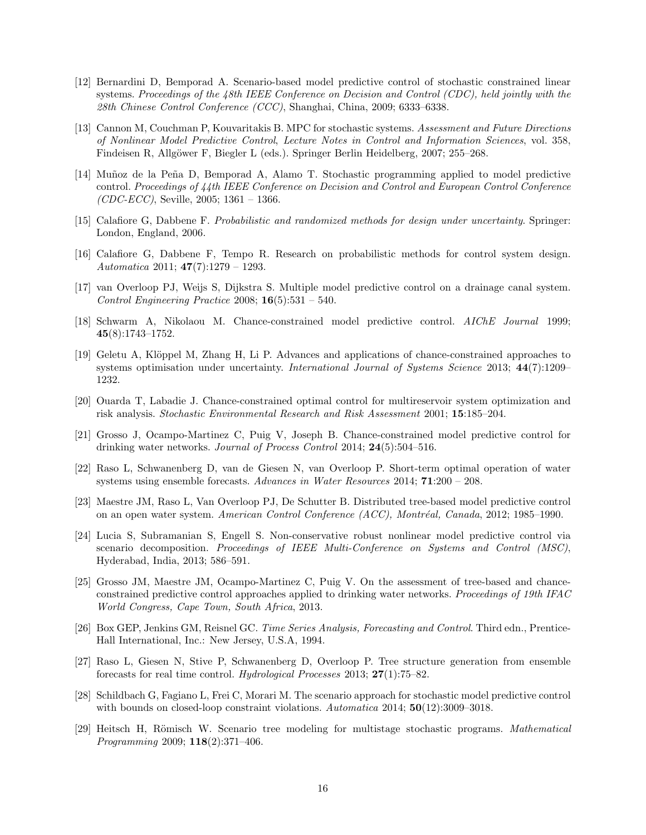- <span id="page-15-0"></span>[12] Bernardini D, Bemporad A. Scenario-based model predictive control of stochastic constrained linear systems. Proceedings of the 48th IEEE Conference on Decision and Control (CDC), held jointly with the 28th Chinese Control Conference (CCC), Shanghai, China, 2009; 6333–6338.
- <span id="page-15-1"></span>[13] Cannon M, Couchman P, Kouvaritakis B. MPC for stochastic systems. Assessment and Future Directions of Nonlinear Model Predictive Control, Lecture Notes in Control and Information Sciences, vol. 358, Findeisen R, Allgöwer F, Biegler L (eds.). Springer Berlin Heidelberg, 2007; 255–268.
- <span id="page-15-2"></span>[14] Muñoz de la Peña D, Bemporad A, Alamo T. Stochastic programming applied to model predictive control. Proceedings of 44th IEEE Conference on Decision and Control and European Control Conference  $(CDC\text{-}ECC)$ , Seville, 2005; 1361 – 1366.
- <span id="page-15-3"></span>[15] Calafiore G, Dabbene F. Probabilistic and randomized methods for design under uncertainty. Springer: London, England, 2006.
- <span id="page-15-4"></span>[16] Calafiore G, Dabbene F, Tempo R. Research on probabilistic methods for control system design. Automatica 2011;  $47(7):1279 - 1293$ .
- <span id="page-15-5"></span>[17] van Overloop PJ, Weijs S, Dijkstra S. Multiple model predictive control on a drainage canal system. Control Engineering Practice 2008;  $16(5):531 - 540$ .
- <span id="page-15-6"></span>[18] Schwarm A, Nikolaou M. Chance-constrained model predictive control. AIChE Journal 1999;  $45(8):1743-1752.$
- <span id="page-15-7"></span>[19] Geletu A, Klöppel M, Zhang H, Li P. Advances and applications of chance-constrained approaches to systems optimisation under uncertainty. International Journal of Systems Science 2013; 44(7):1209– 1232.
- <span id="page-15-8"></span>[20] Ouarda T, Labadie J. Chance-constrained optimal control for multireservoir system optimization and risk analysis. Stochastic Environmental Research and Risk Assessment 2001; 15:185–204.
- <span id="page-15-9"></span>[21] Grosso J, Ocampo-Martinez C, Puig V, Joseph B. Chance-constrained model predictive control for drinking water networks. Journal of Process Control 2014; 24(5):504–516.
- <span id="page-15-10"></span>[22] Raso L, Schwanenberg D, van de Giesen N, van Overloop P. Short-term optimal operation of water systems using ensemble forecasts. Advances in Water Resources  $2014$ ;  $71:200 - 208$ .
- <span id="page-15-11"></span>[23] Maestre JM, Raso L, Van Overloop PJ, De Schutter B. Distributed tree-based model predictive control on an open water system. American Control Conference (ACC), Montréal, Canada, 2012; 1985–1990.
- <span id="page-15-12"></span>[24] Lucia S, Subramanian S, Engell S. Non-conservative robust nonlinear model predictive control via scenario decomposition. Proceedings of IEEE Multi-Conference on Systems and Control (MSC), Hyderabad, India, 2013; 586–591.
- <span id="page-15-13"></span>[25] Grosso JM, Maestre JM, Ocampo-Martinez C, Puig V. On the assessment of tree-based and chanceconstrained predictive control approaches applied to drinking water networks. Proceedings of 19th IFAC World Congress, Cape Town, South Africa, 2013.
- <span id="page-15-14"></span>[26] Box GEP, Jenkins GM, Reisnel GC. Time Series Analysis, Forecasting and Control. Third edn., Prentice-Hall International, Inc.: New Jersey, U.S.A, 1994.
- <span id="page-15-15"></span>[27] Raso L, Giesen N, Stive P, Schwanenberg D, Overloop P. Tree structure generation from ensemble forecasts for real time control. Hydrological Processes  $2013$ ;  $27(1)$ :75–82.
- <span id="page-15-16"></span>[28] Schildbach G, Fagiano L, Frei C, Morari M. The scenario approach for stochastic model predictive control with bounds on closed-loop constraint violations.  $Automatica\ 2014; 50(12):3009-3018$ .
- <span id="page-15-17"></span>[29] Heitsch H, Römisch W. Scenario tree modeling for multistage stochastic programs. Mathematical Programming 2009; 118(2):371–406.